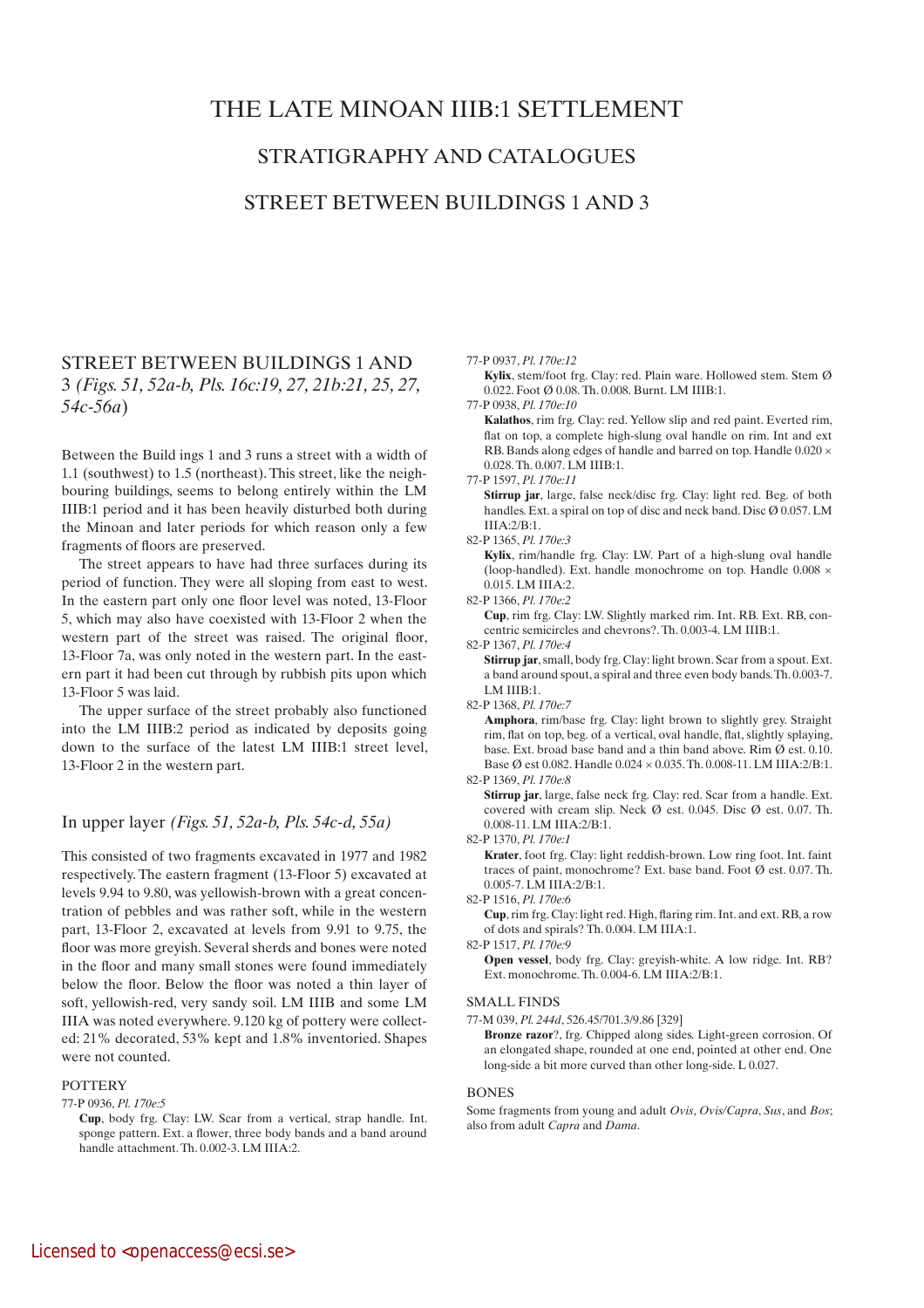# THE LATE MINOAN IIIB:1 SETTLEMENT

## STRATIGRAPHY AND CATALOGUEs

## STREET BETWEEN BUILDINGS 1 AND 3

# STREET BETWEEN BUILDINGS 1 AND 3 *(Figs. 51, 52a-b, Pls. 16c:19, 27, 21b:21, 25, 27, 54c-56a*)

Between the Build ings 1 and 3 runs a street with a width of 1.1 (southwest) to 1.5 (northeast). This street, like the neighbouring buildings, seems to belong entirely within the LM IIIB:1 period and it has been heavily disturbed both during the Minoan and later periods for which reason only a few fragments of floors are preserved.

The street appears to have had three surfaces during its period of function. They were all sloping from east to west. In the eastern part only one floor level was noted, 13-Floor 5, which may also have coexisted with 13-Floor 2 when the western part of the street was raised. The original floor, 13-Floor 7a, was only noted in the western part. In the eastern part it had been cut through by rubbish pits upon which 13-Floor 5 was laid.

The upper surface of the street probably also functioned into the LM IIIB:2 period as indicated by deposits going down to the surface of the latest LM IIIB:1 street level, 13-Floor 2 in the western part.

## In upper layer *(Figs. 51, 52a-b, Pls. 54c-d, 55a)*

This consisted of two fragments excavated in 1977 and 1982 respectively. The eastern fragment (13-Floor 5) excavated at levels 9.94 to 9.80, was yellowish-brown with a great concentration of pebbles and was rather soft, while in the western part, 13-Floor 2, excavated at levels from 9.91 to 9.75, the floor was more greyish. Several sherds and bones were noted in the floor and many small stones were found immediately below the floor. Below the floor was noted a thin layer of soft, yellowish-red, very sandy soil. LM IIIB and some LM IIIA was noted everywhere. 9.120 kg of pottery were collected: 21% decorated, 53% kept and 1.8% inventoried. Shapes were not counted.

### **POTTERY**

77-P 0936, *Pl. 170e:5*

#### 77-P 0937, *Pl. 170e:12*

 **Kylix**, stem/foot frg. Clay: red. Plain ware. Hollowed stem. Stem Ø 0.022. Foot Ø 0.08. Th. 0.008. Burnt. LM IIIB:1.

77-P 0938, *Pl. 170e:10*

 **Kalathos**, rim frg. Clay: red. Yellow slip and red paint. Everted rim, flat on top, a complete high-slung oval handle on rim. Int and ext RB. Bands along edges of handle and barred on top. Handle 0.020  $\times$ 0.028. Th. 0.007. LM IIIB:1.

77-P 1597, *Pl. 170e:11*

 **Stirrup jar**, large, false neck/disc frg. Clay: light red. Beg. of both handles. Ext. a spiral on top of disc and neck band. Disc Ø 0.057. LM IIIA:2/B:1.

**Kylix**, rim/handle frg. Clay: LW. Part of a high-slung oval handle (loop-handled). Ext. handle monochrome on top. Handle 0.008 × 0.015. LM IIIA:2.

82-P 1366, *Pl. 170e:2*

 **Cup**, rim frg. Clay: LW. Slightly marked rim. Int. RB. Ext. RB, concentric semicircles and chevrons?. Th. 0.003-4. LM IIIB:1.

82-P 1367, *Pl. 170e:4*

 **Stirrup jar**, small, body frg. Clay: light brown. Scar from a spout. Ext. a band around spout, a spiral and three even body bands. Th. 0.003-7. LM IIIB:1.

82-P 1368, *Pl. 170e:7*

 **Amphora**, rim/base frg. Clay: light brown to slightly grey. Straight rim, flat on top, beg. of a vertical, oval handle, flat, slightly splaying, base. Ext. broad base band and a thin band above. Rim Ø est. 0.10. Base  $\emptyset$  est 0.082. Handle 0.024 × 0.035. Th. 0.008-11. LM IIIA:2/B:1.

82-P 1369, *Pl. 170e:8*

 **Stirrup jar**, large, false neck frg. Clay: red. Scar from a handle. Ext. covered with cream slip. Neck Ø est. 0.045. Disc Ø est. 0.07. Th. 0.008-11. LM IIIA:2/B:1.

82-P 1370, *Pl. 170e:1*

 **Krater**, foot frg. Clay: light reddish-brown. Low ring foot. Int. faint traces of paint, monochrome? Ext. base band. Foot Ø est. 0.07. Th. 0.005-7. LM IIIA:2/B:1.

82-P 1516, *Pl. 170e:6*

 **Cup**, rim frg. Clay: light red. High, flaring rim. Int. and ext. RB, a row of dots and spirals? Th. 0.004. LM IIIA:1.

82-P 1517, *Pl. 170e:9*

**Open vessel**, body frg. Clay: greyish-white. A low ridge. Int. RB? Ext. monochrome. Th. 0.004-6. LM IIIA:2/B:1.

#### SMALL FINDS

77-M 039, *Pl. 244d*, 526.45/701.3/9.86 [329]

 **Bronze razor**?, frg. Chipped along sides. Light-green corrosion. Of an elongated shape, rounded at one end, pointed at other end. One long-side a bit more curved than other long-side. L 0.027.

### BONES

Some fragments from young and adult *Ovis*, *Ovis/Capra*, *Sus*, and *Bos*; also from adult *Capra* and *Dama*.

**Cup**, body frg. Clay: LW. Scar from a vertical, strap handle. Int. sponge pattern. Ext. a flower, three body bands and a band around handle attachment. Th. 0.002-3. LM IIIA:2.

<sup>82-</sup>P 1365, *Pl. 170e:3*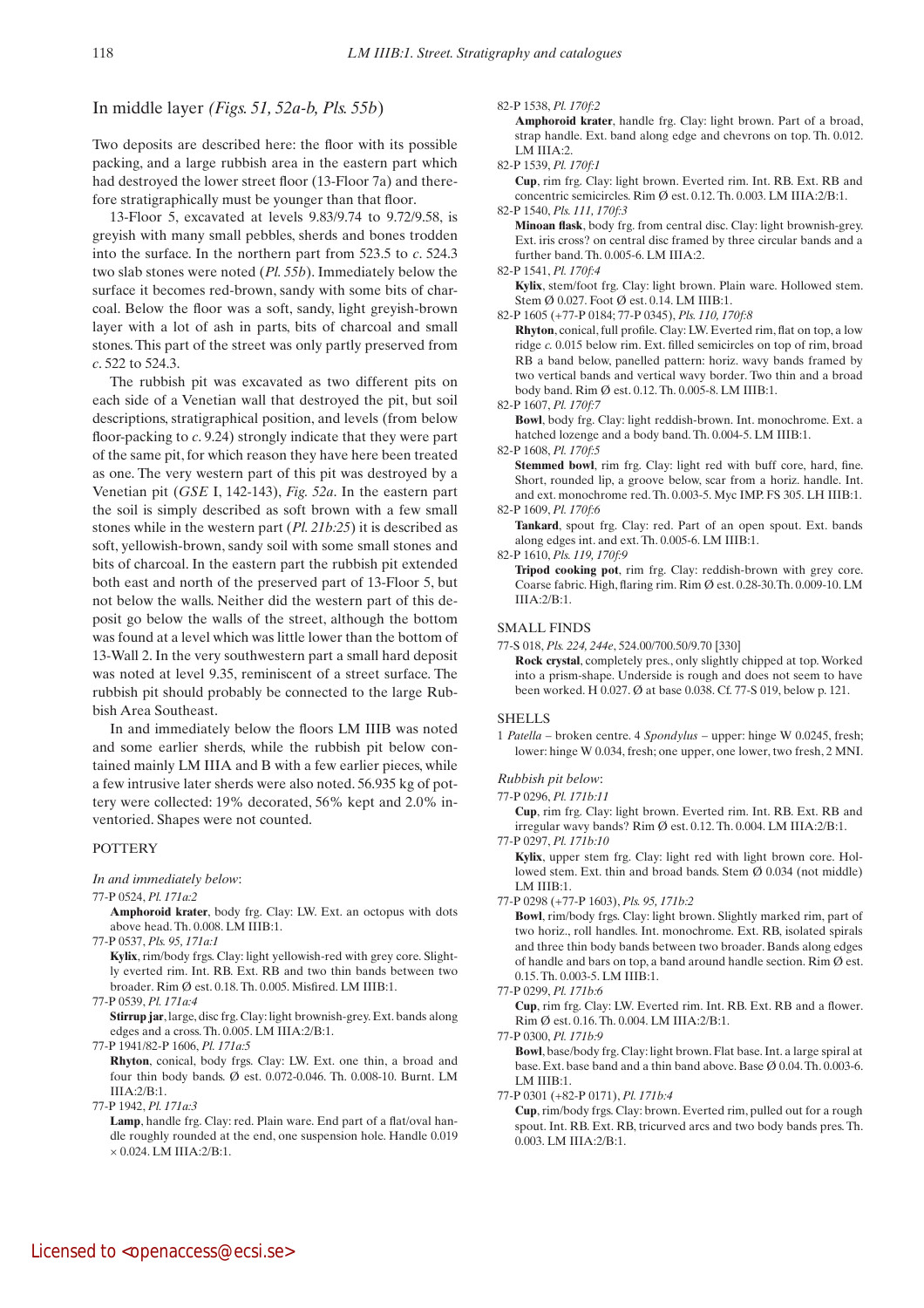## In middle layer *(Figs. 51, 52a-b, Pls. 55b*)

Two deposits are described here: the floor with its possible packing, and a large rubbish area in the eastern part which had destroyed the lower street floor (13-Floor 7a) and therefore stratigraphically must be younger than that floor.

13-Floor 5, excavated at levels 9.83/9.74 to 9.72/9.58, is greyish with many small pebbles, sherds and bones trodden into the surface. In the northern part from 523.5 to *c*. 524.3 two slab stones were noted (*Pl. 55b*). Immediately below the surface it becomes red-brown, sandy with some bits of charcoal. Below the floor was a soft, sandy, light greyish-brown layer with a lot of ash in parts, bits of charcoal and small stones. This part of the street was only partly preserved from *c*. 522 to 524.3.

The rubbish pit was excavated as two different pits on each side of a Venetian wall that destroyed the pit, but soil descriptions, stratigraphical position, and levels (from below floor-packing to *c*. 9.24) strongly indicate that they were part of the same pit, for which reason they have here been treated as one. The very western part of this pit was destroyed by a Venetian pit (*GSE* I, 142-143), *Fig. 52a*. In the eastern part the soil is simply described as soft brown with a few small stones while in the western part (*Pl. 21b:25*) it is described as soft, yellowish-brown, sandy soil with some small stones and bits of charcoal. In the eastern part the rubbish pit extended both east and north of the preserved part of 13-Floor 5, but not below the walls. Neither did the western part of this deposit go below the walls of the street, although the bottom was found at a level which was little lower than the bottom of 13-Wall 2. In the very southwestern part a small hard deposit was noted at level 9.35, reminiscent of a street surface. The rubbish pit should probably be connected to the large Rubbish Area Southeast.

In and immediately below the floors LM IIIB was noted and some earlier sherds, while the rubbish pit below contained mainly LM IIIA and B with a few earlier pieces, while a few intrusive later sherds were also noted. 56.935 kg of pottery were collected: 19% decorated, 56% kept and 2.0% inventoried. Shapes were not counted.

### **POTTERY**

*In and immediately below*:

#### 77-P 0524, *Pl. 171a:2*

 **Amphoroid krater**, body frg. Clay: LW. Ext. an octopus with dots above head. Th. 0.008. LM IIIB:1.

77-P 0537, *Pls. 95, 171a:1*

 **Kylix**, rim/body frgs. Clay: light yellowish-red with grey core. Slightly everted rim. Int. RB. Ext. RB and two thin bands between two broader. Rim Ø est. 0.18. Th. 0.005. Misfired. LM IIIB:1.

77-P 0539, *Pl. 171a:4*

 **Stirrup jar**, large, disc frg. Clay: light brownish-grey. Ext. bands along edges and a cross. Th. 0.005. LM IIIA:2/B:1.

77-P 1941/82-P 1606, *Pl. 171a:5*

 **Rhyton**, conical, body frgs. Clay: LW. Ext. one thin, a broad and four thin body bands. Ø est. 0.072-0.046. Th. 0.008-10. Burnt. LM  $IIIA:2/B:1$ .

77-P 1942, *Pl. 171a:3*

Lamp, handle frg. Clay: red. Plain ware. End part of a flat/oval handle roughly rounded at the end, one suspension hole. Handle 0.019 × 0.024. LM IIIA:2/B:1.

#### 82-P 1538, *Pl. 170f:2*

 **Amphoroid krater**, handle frg. Clay: light brown. Part of a broad, strap handle. Ext. band along edge and chevrons on top. Th. 0.012. LM IIIA:2.

82-P 1539, *Pl. 170f:1*

 **Cup**, rim frg. Clay: light brown. Everted rim. Int. RB. Ext. RB and concentric semicircles. Rim Ø est. 0.12. Th. 0.003. LM IIIA:2/B:1.

## 82-P 1540, *Pls. 111, 170f:3*

 **Minoan flask**, body frg. from central disc. Clay: light brownish-grey. Ext. iris cross? on central disc framed by three circular bands and a further band. Th. 0.005-6. LM IIIA:2.

82-P 1541, *Pl. 170f:4*

 **Kylix**, stem/foot frg. Clay: light brown. Plain ware. Hollowed stem. Stem Ø 0.027. Foot Ø est. 0.14. LM IIIB:1.

82-P 1605 (+77-P 0184; 77-P 0345), *Pls. 110, 170f:8*

 **Rhyton**, conical, full profile. Clay: LW. Everted rim, flat on top, a low ridge *c.* 0.015 below rim. Ext. filled semicircles on top of rim, broad RB a band below, panelled pattern: horiz. wavy bands framed by two vertical bands and vertical wavy border. Two thin and a broad body band. Rim Ø est. 0.12. Th. 0.005-8. LM IIIB:1.

82-P 1607, *Pl. 170f:7*

 **Bowl**, body frg. Clay: light reddish-brown. Int. monochrome. Ext. a hatched lozenge and a body band. Th. 0.004-5. LM IIIB:1.

82-P 1608, *Pl. 170f:5*

 **Stemmed bowl**, rim frg. Clay: light red with buff core, hard, fine. Short, rounded lip, a groove below, scar from a horiz. handle. Int. and ext. monochrome red. Th. 0.003-5. Myc IMP. FS 305. LH IIIB:1. 82-P 1609, *Pl. 170f:6*

Tankard, spout frg. Clay: red. Part of an open spout. Ext. bands along edges int. and ext. Th. 0.005-6. LM IIIB:1.

82-P 1610, *Pls. 119, 170f:9*

 **Tripod cooking pot**, rim frg. Clay: reddish-brown with grey core. Coarse fabric. High, flaring rim. Rim Ø est. 0.28-30.Th. 0.009-10. LM IIIA:2/B:1.

#### SMALL FINDS

77-S 018, *Pls. 224, 244e*, 524.00/700.50/9.70 [330]

 **Rock crystal**, completely pres., only slightly chipped at top. Worked into a prism-shape. Underside is rough and does not seem to have been worked. H 0.027. Ø at base 0.038. Cf. 77-S 019, below p. 121.

#### SHELLS

1 *Patella* – broken centre. 4 *Spondylus* – upper: hinge W 0.0245, fresh; lower: hinge W 0.034, fresh; one upper, one lower, two fresh, 2 MNI.

#### *Rubbish pit below*:

77-P 0296, *Pl. 171b:11*

 **Cup**, rim frg. Clay: light brown. Everted rim. Int. RB. Ext. RB and irregular wavy bands? Rim Ø est. 0.12. Th. 0.004. LM IIIA:2/B:1.

77-P 0297, *Pl. 171b:10*

 **Kylix**, upper stem frg. Clay: light red with light brown core. Hollowed stem. Ext. thin and broad bands. Stem Ø 0.034 (not middle) LM IIIB:1.

77-P 0298 (+77-P 1603), *Pls. 95, 171b:2*

 **Bowl**, rim/body frgs. Clay: light brown. Slightly marked rim, part of two horiz., roll handles. Int. monochrome. Ext. RB, isolated spirals and three thin body bands between two broader. Bands along edges of handle and bars on top, a band around handle section. Rim Ø est. 0.15. Th. 0.003-5. LM IIIB:1.

#### 77-P 0299, *Pl. 171b:6*

 **Cup**, rim frg. Clay: LW. Everted rim. Int. RB. Ext. RB and a flower. Rim Ø est. 0.16. Th. 0.004. LM IIIA:2/B:1.

77-P 0300, *Pl. 171b:9*

 **Bowl**, base/body frg. Clay: light brown. Flat base. Int. a large spiral at base. Ext. base band and a thin band above. Base Ø 0.04. Th. 0.003-6. LM IIIB:1.

77-P 0301 (+82-P 0171), *Pl. 171b:4*

 **Cup**, rim/body frgs. Clay: brown. Everted rim, pulled out for a rough spout. Int. RB. Ext. RB, tricurved arcs and two body bands pres. Th. 0.003. LM IIIA:2/B:1.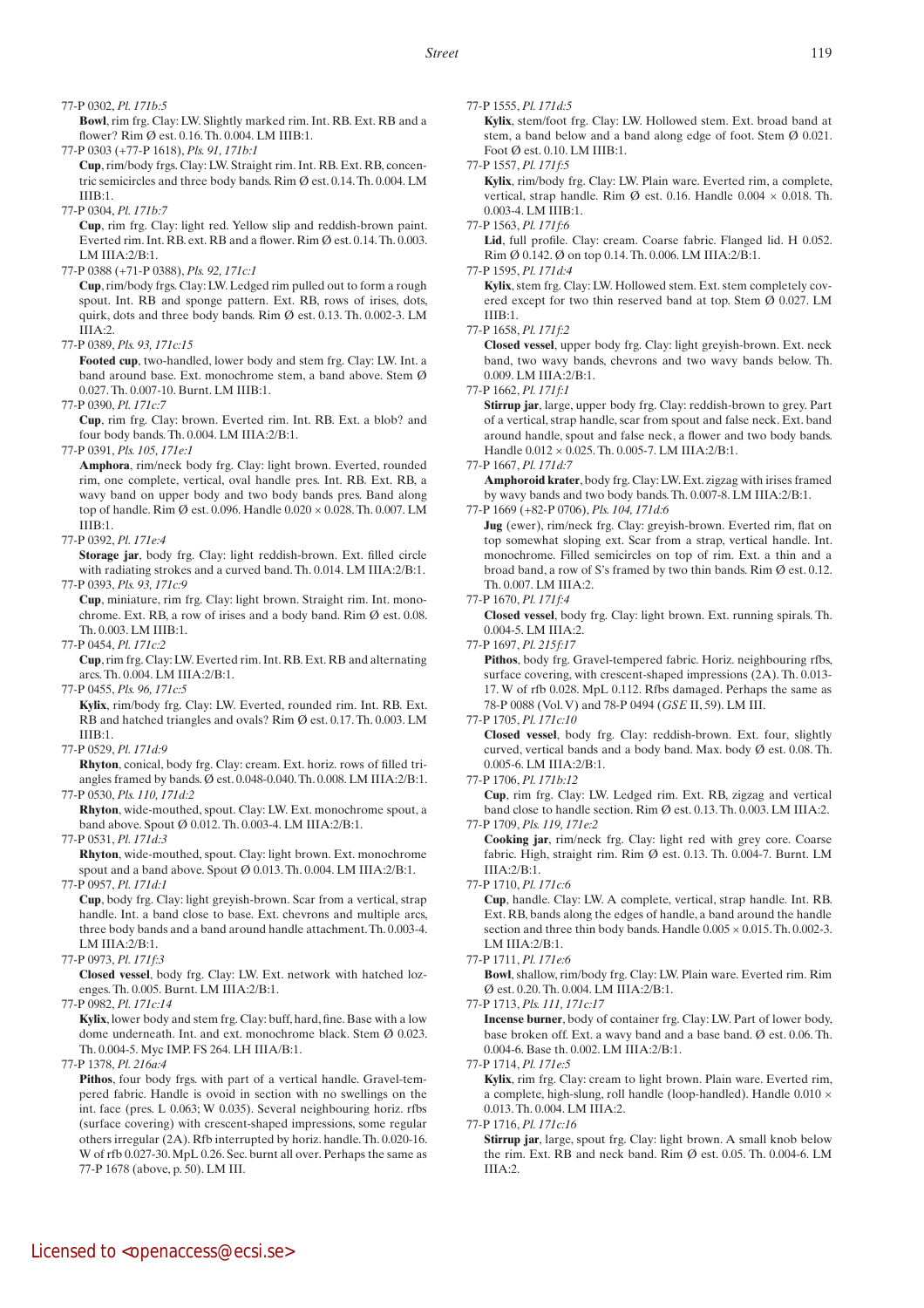#### 77-P 0302, *Pl. 171b:5*

 **Bowl**, rim frg. Clay: LW. Slightly marked rim. Int. RB. Ext. RB and a flower? Rim Ø est. 0.16. Th. 0.004. LM IIIB:1.

77-P 0303 (+77-P 1618), *Pls. 91, 171b:1*

 **Cup**, rim/body frgs. Clay: LW. Straight rim. Int. RB. Ext. RB, concentric semicircles and three body bands. Rim Ø est. 0.14. Th. 0.004. LM IIIB:1.

77-P 0304, *Pl. 171b:7*

 **Cup**, rim frg. Clay: light red. Yellow slip and reddish-brown paint. Everted rim. Int. RB. ext. RB and a flower. Rim Ø est. 0.14. Th. 0.003. LM IIIA:2/B:1.

77-P 0388 (+71-P 0388), *Pls. 92, 171c:1*

 **Cup**, rim/body frgs. Clay: LW. Ledged rim pulled out to form a rough spout. Int. RB and sponge pattern. Ext. RB, rows of irises, dots, quirk, dots and three body bands. Rim Ø est. 0.13. Th. 0.002-3. LM IIIA:2.

77-P 0389, *Pls. 93, 171c:15*

 **Footed cup**, two-handled, lower body and stem frg. Clay: LW. Int. a band around base. Ext. monochrome stem, a band above. Stem Ø 0.027. Th. 0.007-10. Burnt. LM IIIB:1.

77-P 0390, *Pl. 171c:7*

 **Cup**, rim frg. Clay: brown. Everted rim. Int. RB. Ext. a blob? and four body bands. Th. 0.004. LM IIIA:2/B:1.

77-P 0391, *Pls. 105, 171e:1*

 **Amphora**, rim/neck body frg. Clay: light brown. Everted, rounded rim, one complete, vertical, oval handle pres. Int. RB. Ext. RB, a wavy band on upper body and two body bands pres. Band along top of handle. Rim Ø est. 0.096. Handle 0.020 × 0.028. Th. 0.007. LM  $I I I R·1.$ 

## 77-P 0392, *Pl. 171e:4*

 **Storage jar**, body frg. Clay: light reddish-brown. Ext. filled circle with radiating strokes and a curved band. Th. 0.014. LM IIIA:2/B:1. 77-P 0393, *Pls. 93, 171c:9*

 **Cup**, miniature, rim frg. Clay: light brown. Straight rim. Int. monochrome. Ext. RB, a row of irises and a body band. Rim Ø est. 0.08. Th. 0.003. LM IIIB:1.

77-P 0454, *Pl. 171c:2*

 **Cup**, rim frg. Clay: LW. Everted rim. Int. RB. Ext. RB and alternating arcs. Th. 0.004. LM IIIA:2/B:1.

77-P 0455, *Pls. 96, 171c:5*

 **Kylix**, rim/body frg. Clay: LW. Everted, rounded rim. Int. RB. Ext. RB and hatched triangles and ovals? Rim Ø est. 0.17. Th. 0.003. LM IIIB:1.

77-P 0529, *Pl. 171d:9*

 **Rhyton**, conical, body frg. Clay: cream. Ext. horiz. rows of filled triangles framed by bands. Ø est. 0.048-0.040. Th. 0.008. LM IIIA:2/B:1. 77-P 0530, *Pls. 110, 171d:2*

 **Rhyton**, wide-mouthed, spout. Clay: LW. Ext. monochrome spout, a band above. Spout Ø 0.012. Th. 0.003-4. LM IIIA:2/B:1.

77-P 0531, *Pl. 171d:3*

 **Rhyton**, wide-mouthed, spout. Clay: light brown. Ext. monochrome spout and a band above. Spout Ø 0.013. Th. 0.004. LM IIIA:2/B:1. 77-P 0957, *Pl. 171d:1*

 **Cup**, body frg. Clay: light greyish-brown. Scar from a vertical, strap handle. Int. a band close to base. Ext. chevrons and multiple arcs, three body bands and a band around handle attachment. Th. 0.003-4. LM IIIA:2/B:1.

77-P 0973, *Pl. 171f:3*

 **Closed vessel**, body frg. Clay: LW. Ext. network with hatched lozenges. Th. 0.005. Burnt. LM IIIA:2/B:1.

77-P 0982, *Pl. 171c:14*

 **Kylix**, lower body and stem frg. Clay: buff, hard, fine. Base with a low dome underneath. Int. and ext. monochrome black. Stem Ø 0.023. Th. 0.004-5. Myc IMP. FS 264. LH IIIA/B:1.

77-P 1378, *Pl. 216a:4*

Pithos, four body frgs. with part of a vertical handle. Gravel-tempered fabric. Handle is ovoid in section with no swellings on the int. face (pres. L 0.063; W 0.035). Several neighbouring horiz. rfbs (surface covering) with crescent-shaped impressions, some regular others irregular (2A). Rfb interrupted by horiz. handle. Th. 0.020-16. W of rfb 0.027-30. MpL 0.26. Sec. burnt all over. Perhaps the same as 77-P 1678 (above, p. 50). LM III.

77-P 1555, *Pl. 171d:5*

 **Kylix**, stem/foot frg. Clay: LW. Hollowed stem. Ext. broad band at stem, a band below and a band along edge of foot. Stem Ø 0.021. Foot Ø est. 0.10. LM IIIB:1.

77-P 1557, *Pl. 171f:5*

 **Kylix**, rim/body frg. Clay: LW. Plain ware. Everted rim, a complete, vertical, strap handle. Rim Ø est. 0.16. Handle 0.004 × 0.018. Th. 0.003-4. LM IIIB:1.

77-P 1563, *Pl. 171f:6*

Lid, full profile. Clay: cream. Coarse fabric. Flanged lid. H 0.052. Rim Ø 0.142. Ø on top 0.14. Th. 0.006. LM IIIA:2/B:1.

77-P 1595, *Pl. 171d:4*

 **Kylix**, stem frg. Clay: LW. Hollowed stem. Ext. stem completely covered except for two thin reserved band at top. Stem Ø 0.027. LM IIIB:1.

77-P 1658, *Pl. 171f:2*

 **Closed vessel**, upper body frg. Clay: light greyish-brown. Ext. neck band, two wavy bands, chevrons and two wavy bands below. Th. 0.009. LM IIIA:2/B:1.

77-P 1662, *Pl. 171f:1*

**Stirrup** jar, large, upper body frg. Clay: reddish-brown to grey. Part of a vertical, strap handle, scar from spout and false neck. Ext. band around handle, spout and false neck, a flower and two body bands. Handle 0.012 × 0.025. Th. 0.005-7. LM IIIA:2/B:1.

77-P 1667, *Pl. 171d:7*

 **Amphoroid krater**, body frg. Clay: LW. Ext. zigzag with irises framed by wavy bands and two body bands. Th. 0.007-8. LM IIIA:2/B:1.

77-P 1669 (+82-P 0706), *Pls. 104, 171d:6*

 **Jug** (ewer), rim/neck frg. Clay: greyish-brown. Everted rim, flat on top somewhat sloping ext. Scar from a strap, vertical handle. Int. monochrome. Filled semicircles on top of rim. Ext. a thin and a broad band, a row of S's framed by two thin bands. Rim Ø est. 0.12. Th. 0.007. LM IIIA:2.

77-P 1670, *Pl. 171f:4*

 **Closed vessel**, body frg. Clay: light brown. Ext. running spirals. Th. 0.004-5. LM IIIA:2.

77-P 1697, *Pl. 215f:17*

Pithos, body frg. Gravel-tempered fabric. Horiz. neighbouring rfbs, surface covering, with crescent-shaped impressions (2A). Th. 0.013- 17. W of rfb 0.028. MpL 0.112. Rfbs damaged. Perhaps the same as 78-P 0088 (Vol. V) and 78-P 0494 (*GSE* II, 59). LM III.

77-P 1705, *Pl. 171c:10*

 **Closed vessel**, body frg. Clay: reddish-brown. Ext. four, slightly curved, vertical bands and a body band. Max. body Ø est. 0.08. Th. 0.005-6. LM IIIA:2/B:1.

77-P 1706, *Pl. 171b:12*

 **Cup**, rim frg. Clay: LW. Ledged rim. Ext. RB, zigzag and vertical band close to handle section. Rim Ø est. 0.13. Th. 0.003. LM IIIA:2. 77-P 1709, *Pls. 119, 171e:2*

 **Cooking jar**, rim/neck frg. Clay: light red with grey core. Coarse fabric. High, straight rim. Rim Ø est. 0.13. Th. 0.004-7. Burnt. LM IIIA:2/B:1.

77-P 1710, *Pl. 171c:6*

 **Cup**, handle. Clay: LW. A complete, vertical, strap handle. Int. RB. Ext. RB, bands along the edges of handle, a band around the handle section and three thin body bands. Handle  $0.005 \times 0.015$ . Th. 0.002-3. LM IIIA:2/B:1.

 **Bowl**, shallow, rim/body frg. Clay: LW. Plain ware. Everted rim. Rim Ø est. 0.20. Th. 0.004. LM IIIA:2/B:1.

77-P 1713, *Pls. 111, 171c:17*

 **Incense burner**, body of container frg. Clay: LW. Part of lower body, base broken off. Ext. a wavy band and a base band. Ø est. 0.06. Th. 0.004-6. Base th. 0.002. LM IIIA:2/B:1.

77-P 1714, *Pl. 171e:5*

 **Kylix**, rim frg. Clay: cream to light brown. Plain ware. Everted rim, a complete, high-slung, roll handle (loop-handled). Handle 0.010 × 0.013. Th. 0.004. LM IIIA:2.

77-P 1716, *Pl. 171c:16*

 **Stirrup jar**, large, spout frg. Clay: light brown. A small knob below the rim. Ext. RB and neck band. Rim Ø est. 0.05. Th. 0.004-6. LM III $A \cdot 2$ 

<sup>77-</sup>P 1711, *Pl. 171e:6*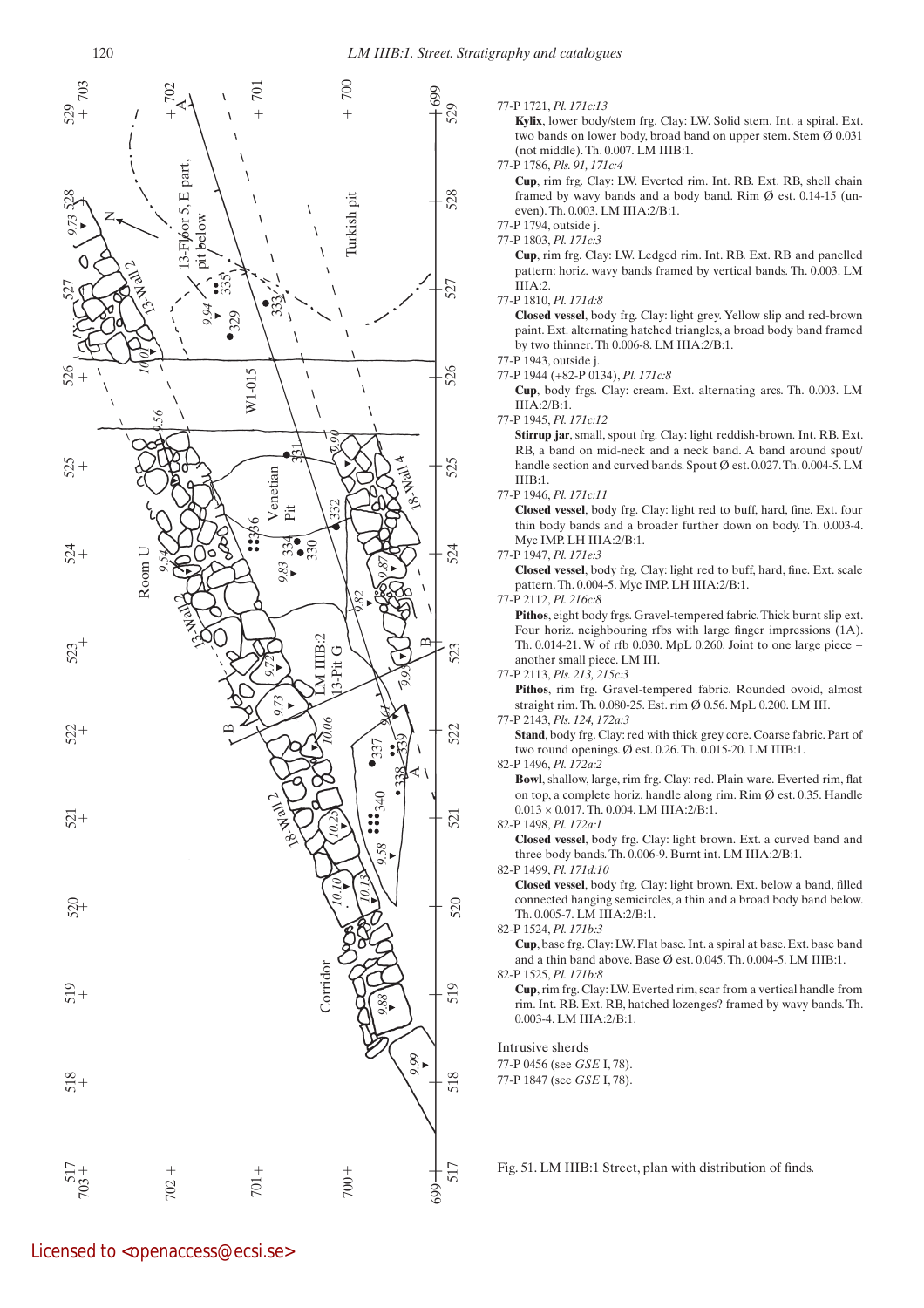

#### 77-P 1721, *Pl. 171c:13*

 **Kylix**, lower body/stem frg. Clay: LW. Solid stem. Int. a spiral. Ext. two bands on lower body, broad band on upper stem. Stem Ø 0.031 (not middle). Th. 0.007. LM IIIB:1.

#### 77-P 1786, *Pls. 91, 171c:4*

 **Cup**, rim frg. Clay: LW. Everted rim. Int. RB. Ext. RB, shell chain framed by wavy bands and a body band. Rim Ø est. 0.14-15 (uneven). Th. 0.003. LM IIIA:2/B:1.

#### 77-P 1794, outside j. 77-P 1803, *Pl. 171c:3*

 **Cup**, rim frg. Clay: LW. Ledged rim. Int. RB. Ext. RB and panelled pattern: horiz. wavy bands framed by vertical bands. Th. 0.003. LM IIIA:2.

#### 77-P 1810, *Pl. 171d:8*

 **Closed vessel**, body frg. Clay: light grey. Yellow slip and red-brown paint. Ext. alternating hatched triangles, a broad body band framed by two thinner. Th 0.006-8. LM IIIA:2/B:1.

#### 77-P 1943, outside j.

77-P 1944 (+82-P 0134), *Pl. 171c:8*

 **Cup**, body frgs. Clay: cream. Ext. alternating arcs. Th. 0.003. LM IIIA:2/B:1.

77-P 1945, *Pl. 171c:12*

 **Stirrup jar**, small, spout frg. Clay: light reddish-brown. Int. RB. Ext. RB, a band on mid-neck and a neck band. A band around spout/ handle section and curved bands. Spout Ø est. 0.027. Th. 0.004-5. LM IIIB:1.

77-P 1946, *Pl. 171c:11*

 **Closed vessel**, body frg. Clay: light red to buff, hard, fine. Ext. four thin body bands and a broader further down on body. Th. 0.003-4. Myc IMP. LH IIIA: 2/B: 1.

#### 77-P 1947, *Pl. 171e:3*

 **Closed vessel**, body frg. Clay: light red to buff, hard, fine. Ext. scale pattern. Th. 0.004-5. Myc IMP. LH IIIA:2/B:1.

#### 77-P 2112, *Pl. 216c:8*

 **Pithos**, eight body frgs. Gravel-tempered fabric. Thick burnt slip ext. Four horiz. neighbouring rfbs with large finger impressions (1A). Th. 0.014-21. W of rfb 0.030. MpL 0.260. Joint to one large piece + another small piece. LM III.

#### 77-P 2113, *Pls. 213, 215c:3*

 **Pithos**, rim frg. Gravel-tempered fabric. Rounded ovoid, almost straight rim. Th. 0.080-25. Est. rim Ø 0.56. MpL 0.200. LM III.

#### 77-P 2143, *Pls. 124, 172a:3*

Stand, body frg. Clay: red with thick grey core. Coarse fabric. Part of two round openings. Ø est. 0.26. Th. 0.015-20. LM IIIB:1.

#### 82-P 1496, *Pl. 172a:2*

 **Bowl**, shallow, large, rim frg. Clay: red. Plain ware. Everted rim, flat on top, a complete horiz. handle along rim. Rim Ø est. 0.35. Handle  $0.013 \times 0.017$ . Th.  $0.004$ . LM IIIA:2/B:1.

82-P 1498, *Pl. 172a:1*

 **Closed vessel**, body frg. Clay: light brown. Ext. a curved band and three body bands. Th. 0.006-9. Burnt int. LM IIIA:2/B:1.

#### 82-P 1499, *Pl. 171d:10*

 **Closed vessel**, body frg. Clay: light brown. Ext. below a band, filled connected hanging semicircles, a thin and a broad body band below. Th. 0.005-7. LM IIIA:2/B:1.

#### 82-P 1524, *Pl. 171b:3*

 **Cup**, base frg. Clay: LW. Flat base. Int. a spiral at base. Ext. base band and a thin band above. Base  $\emptyset$  est. 0.045. Th. 0.004-5. LM IIIB:1.

#### 82-P 1525, *Pl. 171b:8*

 **Cup**, rim frg. Clay: LW. Everted rim, scar from a vertical handle from rim. Int. RB. Ext. RB, hatched lozenges? framed by wavy bands. Th. 0.003-4. LM IIIA:2/B:1.

#### Intrusive sherds

77-P 0456 (see *GSE* I, 78).

77-P 1847 (see *GSE* I, 78).

Fig. 51. LM IIIB:1 Street, plan with distribution of finds.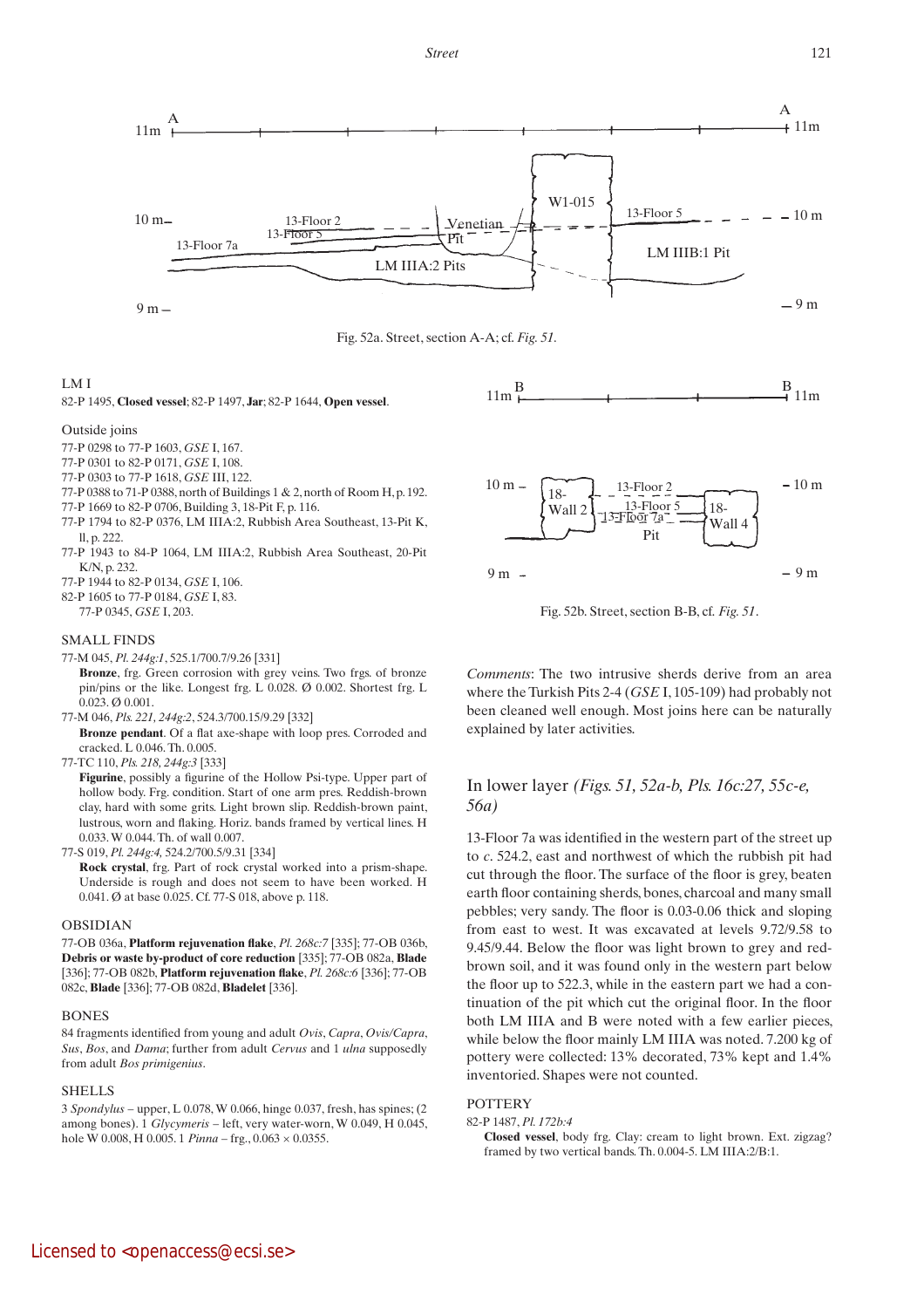



## LM I

82-P 1495, **Closed vessel**; 82-P 1497, **Jar**; 82-P 1644, **Open vessel**.

### Outside joins

- 77-P 0298 to 77-P 1603, *GSE* I, 167.
- 77-P 0301 to 82-P 0171, *GSE* I, 108.
- 77-P 0303 to 77-P 1618, *GSE* III, 122.
- 77-P 0388 to 71-P 0388, north of Buildings 1 & 2, north of Room H, p. 192.
- 77-P 1669 to 82-P 0706, Building 3, 18-Pit F, p. 116.
- 77-P 1794 to 82-P 0376, LM IIIA:2, Rubbish Area Southeast, 13-Pit K, ll, p. 222.
- 77-P 1943 to 84-P 1064, LM IIIA:2, Rubbish Area Southeast, 20-Pit K/N, p. 232.
- 77-P 1944 to 82-P 0134, *GSE* I, 106.
- 82-P 1605 to 77-P 0184, *GSE* I, 83.
- 77-P 0345, *GSE* I, 203.

## SMALL FINDS

- 77-M 045, *Pl. 244g:1*, 525.1/700.7/9.26 [331]
	- **Bronze**, frg. Green corrosion with grey veins. Two frgs. of bronze pin/pins or the like. Longest frg. L 0.028. Ø 0.002. Shortest frg. L 0.023. Ø 0.001.
- 77-M 046, *Pls. 221, 244g:2*, 524.3/700.15/9.29 [332]

 **Bronze pendant**. Of a flat axe-shape with loop pres. Corroded and cracked. L 0.046. Th. 0.005.

77-TC 110, *Pls. 218, 244g:3* [333]

 **Figurine**, possibly a figurine of the Hollow Psi-type. Upper part of hollow body. Frg. condition. Start of one arm pres. Reddish-brown clay, hard with some grits. Light brown slip. Reddish-brown paint, lustrous, worn and flaking. Horiz. bands framed by vertical lines. H 0.033. W 0.044. Th. of wall 0.007.

- 77-S 019, *Pl. 244g:4,* 524.2/700.5/9.31 [334]
	- **Rock crystal**, frg. Part of rock crystal worked into a prism-shape. Underside is rough and does not seem to have been worked. H 0.041. Ø at base 0.025. Cf. 77-S 018, above p. 118.

## OBSIDIAN

77-OB 036a, **Platform rejuvenation flake**, *Pl. 268c:7* [335]; 77-OB 036b, **Debris or waste by-product of core reduction** [335]; 77-OB 082a, **Blade** [336]; 77-OB 082b, **Platform rejuvenation flake**, *Pl. 268c:6* [336]; 77-OB 082c, **Blade** [336]; 77-OB 082d, **Bladelet** [336].

#### **BONES**

84 fragments identified from young and adult *Ovis*, *Capra*, *Ovis/Capra*, *Sus*, *Bos*, and *Dama*; further from adult *Cervus* and 1 *ulna* supposedly from adult *Bos primigenius*.

## **SHELLS**

3 *Spondylus* – upper, L 0.078, W 0.066, hinge 0.037, fresh, has spines; (2 among bones). 1 *Glycymeris* – left, very water-worn, W 0.049, H 0.045, hole W 0.008, H 0.005, 1 *Pinna* – frg.,  $0.063 \times 0.0355$ .



Fig. 52b. Street, section B-B, cf. *Fig. 51*.

*Comments*: The two intrusive sherds derive from an area where the Turkish Pits 2-4 (*GSE* I, 105-109) had probably not been cleaned well enough. Most joins here can be naturally explained by later activities.

## In lower layer *(Figs. 51, 52a-b, Pls. 16c:27, 55c-e, 56a)*

13-Floor 7a was identified in the western part of the street up to *c*. 524.2, east and northwest of which the rubbish pit had cut through the floor. The surface of the floor is grey, beaten earth floor containing sherds, bones, charcoal and many small pebbles; very sandy. The floor is 0.03-0.06 thick and sloping from east to west. It was excavated at levels 9.72/9.58 to 9.45/9.44. Below the floor was light brown to grey and redbrown soil, and it was found only in the western part below the floor up to 522.3, while in the eastern part we had a continuation of the pit which cut the original floor. In the floor both LM IIIA and B were noted with a few earlier pieces, while below the floor mainly LM IIIA was noted. 7.200 kg of pottery were collected: 13% decorated, 73% kept and 1.4% inventoried. Shapes were not counted.

## **POTTERY**

- 82-P 1487, *Pl. 172b:4*
	- **Closed vessel**, body frg. Clay: cream to light brown. Ext. zigzag? framed by two vertical bands. Th. 0.004-5. LM IIIA:2/B:1.